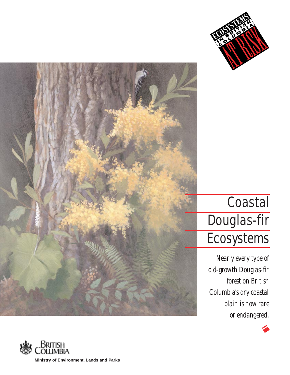



# **Coastal** Douglas-fir **Ecosystems**

*Nearly every type of old-growth Douglas-fir forest on British Columbia's dry coastal plain is now rare or endangered.*



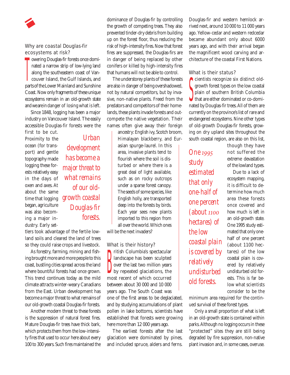

# Why are coastal Douglas-fir ecosystems at risk?

 $\int$ owering Douglas-fir forests once dominated a narrow strip of low-lying land along the southeastern coast of Vancouver Island, the Gulf Islands, and parts of the Lower Mainland and Sunshine Coast. Now only fragments of these unique ecosystems remain in an old-growth state and we are in danger of losing what is left.

Since 1848, logging has been a major industry on Vancouver Island. The easily accessible Douglas-fir forests were the

first to be cut. Proximity to the ocean (for transport) and gentle topography made logging these forests relatively easy in the days of oxen and axes. At about the same time that logging began, agriculture was also becoming a major industry. Early set-

*Urban development has become a major threat to what remains of our oldgrowth coastal Douglas-fir forests.*

tlers took advantage of the fertile lowland soils and cleared the land of trees so they could raise crops and livestock.

As forestry, farming, mining and fishing brought more and more people to this coast, bustling cities spread across the land where bountiful forests had once grown. This trend continues today as the mild climate attracts winter-weary Canadians from the East. Urban development has become a major threat to what remains of our old-growth coastal Douglas-fir forests.

Another modern threat to these forests is the suppression of natural forest fires. Mature Douglas-fir trees have thick bark, which protects them from the low-intensity fires that used to occur here about every 100 to 300 years. Such fires maintained the dominance of Douglas-fir by controlling the growth of competing trees. They also prevented tinder-dry debris from building up on the forest floor, thus reducing the risk of high-intensity fires. Now that forest fires are suppressed, the Douglas-firs are in danger of being replaced by other conifers or killed by high-intensity fires that humans will not be able to control.

The understorey plants of these forests are also in danger of being overshadowed, not by natural competitors, but by invasive, non-native plants. Freed from the predators and competitors of their homelands, these plants invade forests and outcompete the native vegetation. Their names often give away their foreign

ancestry: English ivy, Scotch broom,

Himalayan blackberry, and Eurasian spurge-laurel. In this area, invasive plants tend to flourish where the soil is disturbed or where there is a great deal of light available, such as on rocky outcrops under a sparse forest canopy. The seeds of some species, like English holly, are transported deep into the forests by birds. Each year sees new plants imported to this region from all over the world.Which ones

will be the next invaders?

#### What is their history?

**Bullet Columbia's spectacular**<br> **Columbia's spectacular**<br> **Columbiations** columns by repeated glaciations, the ritish Columbia's spectacular landscape has been sculpted over the last two million years most recent of which occurred between about 30 000 and 10 000 years ago. The South Coast was

one of the first areas to be deglaciated, and by studying accumulations of plant pollen in lake bottoms, scientists have established that forests were growing here more than 12 000 years ago.

The earliest forests after the last glaciation were dominated by pines, and included spruce, alders and ferns.

Douglas-fir and western hemlock arrived next, around 10 000 to 11 000 years ago. Yellow-cedar and western redcedar became abundant only about 6000 years ago, and with their arrival began the magnificent wood carving and architecture of the coastal First Nations.

## What is their status?

S N cientists recognize six distinct oldgrowth forest types on the low coastal plain of southern British Columbia **that are either dominated or co-domi**nated by Douglas-fir trees. All of them are currently on the province's list of rare and endangered ecosystems. Nine other types of old-growth Douglas-fir forests, growing on dry upland sites throughout the south coastal region, are also on this list,

*One study estimated that only one-half of one percent (about hectares) of the low coastal plain is covered by relatively undisturbed old forests.*

though they have not suffered the extreme devastation of the lowland types.

Due to a lack of ecosystem mapping, it is difficult to determine how much area these forests once covered and how much is left in an old-growth state. One 1995 study estimated that only onehalf of one percent (about 1100 hectares) of the low coastal plain is covered by relatively undisturbed old forests. This is far below what scientists consider to be the

minimum area required for the continued survival of these forest types.

Only a small proportion of what is left in an old-growth state is contained within parks. Although no logging occurs in these "protected" sites they are still being degraded by fire suppression, non-native plant invasion and, in some cases, overuse.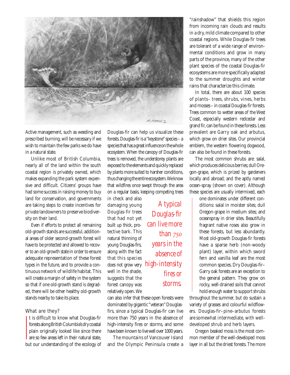

Active management, such as weeding and prescribed burning, will be necessary if we wish to maintain the few parks we do have in a natural state.

Unlike most of British Columbia, nearly all of the land within the south coastal region is privately owned, which makes expanding the park system expensive and difficult. Citizens' groups have had some success in raising money to buy land for conservation, and governments are taking steps to create incentives for private landowners to preserve biodiversity on their land.

Even if efforts to protect all remaining old-growth stands are successful, additional areas of older second-growth forest will have to be protected and allowed to recover to an old-growth state in order to ensure adequate representation of these forest types in the future, and to provide a continuous network of wildlife habitat. This will create a margin of safety in the system so that if one old-growth stand is degraded, there will be other healthy old-growth stands nearby to take its place.

### What are they?

|<br>|<br>|t is difficult to know what Douglas-fir forests along British Columbia's dry coastal plain originally looked like since there **are so few areas left in their natural state.** but our understanding of the ecology of Douglas-fir can help us visualize these forests. Douglas-fir is a "keystone" species - a species that has a great influence on the whole ecosystem. When the canopy of Douglas-fir trees is removed, the understorey plants are exposed to the elements and quickly replaced by plants more suited to harsher conditions, thus changing the entire ecosystem.We know that wildfires once swept through the area on a regular basis, keeping competing trees

in check and also damaging young Douglas-fir trees that had not yet built up thick, protective bark. This natural thinning of young Douglas-firs, along with the fact that this species does not grow very well in the shade, suggests that the forest canopy was relatively open. We

*A typical Douglas-fir can live more than* 750 *years in the absence of high-intensity fires or storms.*

can also infer that these open forests were dominated by gigantic "veteran"Douglasfirs, since a typical Douglas-fir can live more than 750 years in the absence of high-intensity fires or storms, and some have been known to live well over 1000 years.

The mountains of Vancouver Island and the Olympic Peninsula create a

"rainshadow" that shields this region from incoming rain clouds and results in a dry, mild climate compared to other coastal regions. While Douglas-fir trees are tolerant of a wide range of environmental conditions and grow in many parts of the province, many of the other plant species of the coastal Douglas-fir ecosystems are more specifically adapted to the summer droughts and winter rains that characterize this climate.

In total, there are about 100 species of plants– trees, shrubs, vines, herbs and mosses – in coastal Douglas-fir forests. Trees common to wetter areas of the West Coast, especially western redcedar and grand fir, can be found in these forests. Less prevalent are Garry oak and arbutus, which grow on drier sites. Our provincial emblem, the western flowering dogwood, can also be found in these forests.

The most common shrubs are: salal, which produces delicious berries; dull Oregon-grape, which is prized by gardeners locally and abroad; and the aptly named ocean-spray (shown on cover). Although these species are usually intermixed, each

> one dominates under different conditions: salal in moister sites; dull Oregon-grape in medium sites; and oceanspray in drier sites. Beautifully fragrant native roses also grow in these forests, but less abundantly. Most old-growth Douglas-fir forests have a sparse herb (non-woody plant) layer, within which sword fern and vanilla leaf are the most common species. Dry Douglas-fir– Garry oak forests are an exception to the general pattern. They grow on rocky, well-drained soils that cannot hold enough water to support shrubs

throughout the summer, but do sustain a variety of grasses and colourful wildflowers. Douglas-fir–pine–arbutus forests are somewhat intermediate, with welldeveloped shrub *and* herb layers.

Oregon beaked moss is the most common member of the well-developed moss layer in all but the driest forests. The more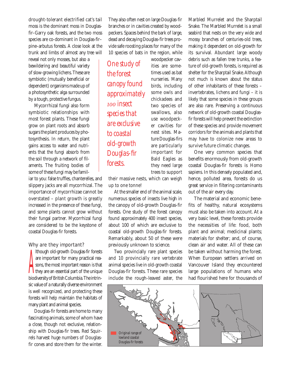drought-tolerant electrified cat's tail moss is the dominant moss in Douglasfir–Garry oak forests, and the two moss species are co-dominant in Douglas-fir– pine–arbutus forests. A close look at the trunk and limbs of almost any tree will

reveal not only mosses, but also a bewildering and beautiful variety of slow-growing lichens. These are symbiotic (mutually beneficial or dependent) organisms made up of a photosynthetic alga surrounded by a tough, protective fungus.

Mycorrhizal fungi also form symbiotic relationships with most forest plants. These fungi grow on plant roots and absorb sugars the plant produces by photosynthesis. In return, the plant gains access to water and nutrients that the fungi absorb from the soil through a network of filaments. The fruiting bodies of some of these fungi may be famil-

iar to you: false truffles, chanterelles, and slippery jacks are all mycorrhizal. The importance of mycorrhizae cannot be overstated – plant growth is greatly increased in the presence of these fungi, and some plants cannot grow without their fungal partner. Mycorrhizal fungi are considered to be *the* keystone of coastal Douglas-fir forests.

# Why are they important?

though old-growth Douglas-fir forests<br>
are important for many practical reasons, the most important reason is that<br>
they are an essential part of the unique lthough old-growth Douglas-fir forests are important for many practical reasons, the most important reason is that biodiversity of British Columbia.The intrinsic value of a naturally diverse environment is well recognized, and protecting these forests will help maintain the habitats of many plant and animal species.

Douglas-fir forests are home to many fascinating animals, some of whom have a close, though not exclusive, relationship with Douglas-fir trees. Red Squirrels harvest huge numbers of Douglasfir cones and store them for the winter.

They also often nest on large Douglas-fir branches or in cavities created by woodpeckers. Spaces behind the bark of large, dead and decaying Douglas-fir trees provide safe roosting places for many of the 10 species of bats in the region, while

*One study of the forest canopy found approximately insect species that are exclusive to coastal old-growth Douglas-fir forests.*

woodpecker cavities are sometimes used as bat nurseries. Many birds, including some owls and chickadees and two species of swallows, also use woodpecker cavities for nest sites. Mature Douglas-firs are particularly important for Bald Eagles as they need large trees to support

their massive nests, which can weigh up to one tonne!

At the smaller end of the animal scale, numerous species of insects live high in the canopy of old-growth Douglas-fir forests. One study of the forest canopy found approximately 400 insect species, about 100 of which are exclusive to coastal old-growth Douglas-fir forests. Remarkably, about 50 of these were previously unknown to science.

Two provincially rare plant species and 10 provincially rare vertebrate animal species live in old-growth coastal Douglas-fir forests. These rare species include the rough-leaved aster, the Marbled Murrelet and the Sharptail Snake. The Marbled Murrelet is a small seabird that nests on the very wide and mossy branches of centuries-old trees, making it dependent on old-growth for its survival. Abundant large woody debris such as fallen tree trunks, a feature of old-growth forests, is required as shelter for the Sharptail Snake. Although not much is known about the status of other inhabitants of these forests – invertebrates, lichens and fungi – it is likely that some species in these groups are also rare. Preserving a continuous network of old-growth coastal Douglasfir forests will help prevent the extinction of these species and provide movement corridors for the animals and plants that may have to colonize new areas to survive future climatic changes.

One very common species that benefits enormously from old-growth coastal Douglas-fir forests is *Homo sapiens*. In this densely populated and, hence, polluted area, forests do us great service in filtering contaminants out of the air every day.

The material and economic benefits of healthy, natural ecosystems must also be taken into account. At a very basic level, these forests provide the necessities of life: food, both plant and animal; medicinal plants; materials for shelter; and, of course, clean air and water. All of these can be taken without harming the forest. When European settlers arrived on Vancouver Island they encountered large populations of humans who had flourished here for thousands of

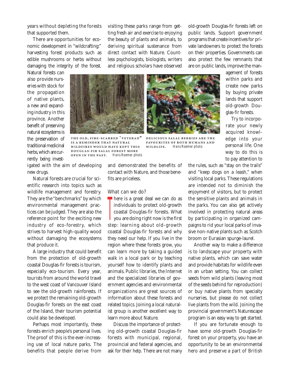years without depleting the forests that supported them.

There are opportunities for economic development in "wildcrafting:" harvesting forest products such as edible mushrooms or herbs without damaging the integrity of the forest.

Natural forests can also provide nurseries with stock for the propagation of native plants, a new and expanding industry in this province. Another benefit of preserving natural ecosystems is the preservation of traditional medicinal herbs,which are currently being investdirect contact with Nature. Countless psychologists, biologists, writers and religious scholars have observed



THE OLD, FIRE-SCARRED "VETERAN" **IS A REMINDER THAT NATURAL WILDFIRES WOULD HAVE KEPT THIS DOUGLAS-FIR SALAL FOREST MORE .** *Hans Roemer photo*



old-growth Douglas-fir forests left on public lands. Support government programs that create incentives for private landowners to protect the forests on their properties. Governments can also protect the few remnants that are on public lands, improve the man-

> agement of forests within parks and create new parks by buying private lands that support old-growth Douglas-fir forests.

> Try to incorporate your newly acquired knowledge into your personal life. One way to do this is to pay attention to

igated with the aim of developing new drugs.

Natural forests are crucial for scientific research into topics such as wildlife management and forestry. They are the "benchmarks" by which environmental management practices can be judged. They are also the reference point for the exciting new industry of eco-forestry, which strives to harvest high-quality wood without damaging the ecosystems that produce it.

A large industry that could benefit from the protection of old-growth coastal Douglas-fir forests is tourism, especially eco-tourism. Every year, tourists from around the world travel to the west coast of Vancouver Island to see the old-growth rainforests. If we protect the remaining old-growth Douglas-fir forests on the east coast of the Island, their tourism potential could also be developed.

Perhaps most importantly, these forests enrich people's personal lives. The proof of this is the ever-increasing use of local nature parks. The benefits that people derive from

and demonstrated the benefits of contact with Nature, and those benefits are priceless.

visiting these parks range from getting fresh air and exercise to enjoying the beauty of plants and animals, to deriving spiritual sustenance from

#### What can we do?

 $\int$ here is a great deal we can do as individuals to protect old-growth coastal Douglas-fir forests. What you are doing right now is the first step: learning about old-growth coastal Douglas-fir forests and why they need our help. If you live in the region where these forests grow, you can learn more by taking a guided walk in a local park or by teaching yourself how to identify plants and animals. Public libraries, the Internet and the specialized libraries of government agencies and environmental organizations are great sources of information about these forests and related topics. Joining a local naturalist group is another excellent way to learn more about Nature.

Discuss the importance of protecting old-growth coastal Douglas-fir forests with municipal, regional, provincial and federal agencies, and ask for their help. There are not many

the rules, such as "stay on the trails" and "keep dogs on a leash," when visiting local parks. These regulations are intended not to diminish the enjoyment of visitors, but to protect the sensitive plants and animals in the parks. You can also get actively involved in protecting natural areas by participating in organized campaigns to rid your local parks of invasive non-native plants such as Scotch broom or Eurasian spurge-laurel.

Another way to make a difference is to landscape your property with native plants, which can save water and provide habitats for wildlife even in an urban setting. You can collect seeds from wild plants (leaving most of the seeds behind for reproduction) or buy native plants from specialty nurseries, but please do not collect live plants from the wild. Joining the provincial government's Naturescape program is an easy way to get started.

If you are fortunate enough to have some old-growth Douglas-fir forest on your property, you have an opportunity to be an environmental hero and preserve a part of British